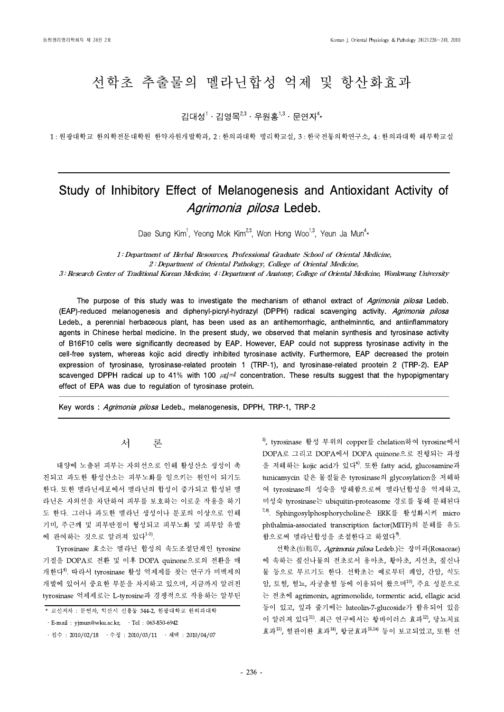# 선학초 추출물의 멜라닌합성 억제 및 항산화효과

김대성 $1 \cdot 2$ 영목 $^{2,3} \cdot 7$ 위홍 $^{1,3} \cdot 7 = 2$ 연자 $^{4} \star$ 

1 : 원광대학교 한의학전문대학원 한약자원개발학과, 2 : 한의과대학 병리학교실, 3 : 한국전통의학연구소, 4 : 한의과대학 해부학교실

## Study of Inhibitory Effect of Melanogenesis and Antioxidant Activity of Agrimonia pilosa Ledeb.

Dae Sung Kim<sup>1</sup>, Yeong Mok Kim<sup>2,3</sup>, Won Hong Woo<sup>1,3</sup>, Yeun Ja Mun<sup>4</sup>\*

1 : Department of Herbal Resources, Professional Graduate School of Oriental Medicine, 2 : Department of Oriental Pathology, College of Oriental Medicine,

3 : Research Center of Traditional Korean Medicine, 4 : Department of Anatomy, College of Oriental Medicine, Wonkwang University

The purpose of this study was to investigate the mechanism of ethanol extract of Agrimonia pilosa Ledeb. (EAP)-reduced melanogenesis and diphenyl-picryl-hydrazyl (DPPH) radical scavenging activity. Agrimonia pilosa Ledeb., a perennial herbaceous plant, has been used as an antihemorrhagic, anthelminntic, and antiinflammatory agents in Chinese herbal medicine. In the present study, we observed that melanin synthesis and tyrosinase activity of B16F10 cells were significantly decreased by EAP. However, EAP could not suppress tyrosinase activity in the cell-free system, whereas kojic acid directly inhibited tyrosinase activity. Furthermore, EAP decreased the protein expression of tyrosinase, tyrosinase-related prootein 1 (TRP-1), and tyrosinase-related prootein 2 (TRP-2). EAP scavenged DPPH radical up to 41% with 100  $\mu$ g/ml concentration. These results suggest that the hypopigmentary effect of EPA was due to regulation of tyrosinase protein.

<u>. In the case of the contract of the contract of the contract of the contract of the contract of the contract of the contract of the contract of the contract of the contract of the contract of the contract of the contract</u>

Key words : Agrimonia pilosa Ledeb., melanogenesis, DPPH, TRP-1, TRP-2

## 서 론

태양에 노출된 피부는 자외선으로 인해 활성산소 생성이 촉 진되고 과도한 활성산소는 피부노화를 일으키는 원인이 되기도 한다. 또한 멜라닌세포에서 멜라닌의 합성이 증가되고 합성된 멜 라닌은 자외선을 차단하여 피부를 보호하는 이로운 작용을 하기 도 한다. 그러나 과도한 멜라닌 생성이나 분포의 이상으로 인해 기미, 주근깨 및 피부반점이 형성되고 피부노화 및 피부암 유발 에 관여하는 것으로 알려져 있다<sup>1-3)</sup>.

Tyrosinase 효소는 멜라닌 합성의 속도조절단계인 tyrosine 기질을 DOPA로 전환 및 이후 DOPA quinone으로의 전환을 매 개한다4). 따라서 tyrosinase 활성 억제제를 찾는 연구가 미백제의 개발에 있어서 중요한 부분을 차지하고 있으며, 지금까지 알려진 tyrosinase 억제제로는 L-tyrosine과 경쟁적으로 작용하는 알부틴 5), tyrosinase 활성 부위의 copper를 chelation하여 tyrosine에서 DOPA로 그리고 DOPA에서 DOPA quinone으로 진행되는 과정 을 저해하는 kojic acid가 있다<sup>6)</sup>. 또한 fatty acid, glucosamine과 tunicamycin 같은 물질들은 tyrosinase의 glycosylation을 저해하 여 tyrosinase의 성숙을 방해함으로써 멜라닌합성을 억제하고, 미성숙 tyrosinase는 ubiquitin-proteasome 경로를 통해 분해된다 7,8). Sphingosylphosphorycholine은 ERK를 활성화시켜 micro phthalmia-associated transcription factor(MITF)의 분해를 유도 함으로써 멜라닌합성을 조절한다고 하였다<sup>9)</sup>.

선학초(仙鶴草, Agrimonia pilosa Ledeb.)는 장미과(Rosaceae) 에 속하는 짚신나물의 전초로서 용아초, 황아초, 지선초, 짚신나 물 등으로 부르기도 한다. 선학초는 예로부터 폐암, 간암, 식도 암, 토혈, 혈뇨, 자궁출혈 등에 이용되어 왔으며10), 주요 성분으로 는 전초에 agrimonin, agrimonolide, tormentic acid, ellagic acid 등이 있고, 잎과 줄기에는 luteolin-7-glucoside가 함유되어 있음 이 알려져 있다<sup>11)</sup>. 최근 연구에서는 항바이러스 효과<sup>12</sup>, 당뇨치료 효과13), 혈관이완 효과14), 항균효과15,16) 등이 보고되었고, 또한 선

<sup>\*</sup> 교신저자 : 문연자, 익산시 신용동 344-2, 원광대학교 한의과대학

 $\cdot$  E-mail : yjmun@wku.ac.kr,  $\cdot$  Tel : 063-850-6942

<sup>•</sup>접수 : 2010/02/18 · 수정 : 2010/03/11 · 채택 : 2010/04/07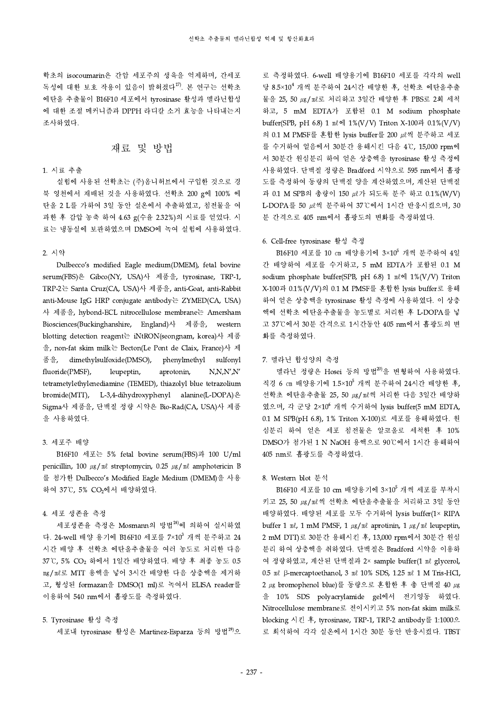학초의 isocoumarin은 간암 세포주의 생육을 억제하며, 간세포 독성에 대한 보호 작용이 있음이 밝혀졌다17). 본 연구는 선학초 에탄올 추출물이 B16F10 세포에서 tyrosinase 활성과 멜라닌합성 에 대한 조절 메커니즘과 DPPH 라디칼 소거 효능을 나타내는지 조사하였다.

## 재료 및 방법

#### 1. 시료 추출

실험에 사용된 선학초는 (주)옴니허브에서 구입한 것으로 경 북 영천에서 재배된 것을 사용하였다. 선학초 200 g에 100% 에 탄올 2 L를 가하여 3일 동안 실온에서 추출하였고, 침전물을 여 과한 후 감압 농축 하여 4.63 g(수율 2.32%)의 시료를 얻었다. 시 료는 냉동실에 보관하였으며 DMSO에 녹여 실험에 사용하였다.

## 2. 시약

Dulbecco's modified Eagle medium(DMEM), fetal bovine serum(FBS)은 Gibco(NY, USA)사 제품을, tyrosinase, TRP-1, TRP-2는 Santa Cruz(CA, USA)사 제품을, anti-Goat, anti-Rabbit anti-Mouse IgG HRP conjugate antibody는 ZYMED(CA, USA) 사 제품을, hybond-ECL nitrocellulose membrane는 Amersham Biosciences(Buckinghanshire, England)사 제품을, western blotting detection reagent는 iNtRON(seongnam, korea)사 제품 을, non-fat skim milk는 Becton(Le Pont de Claix, France)사 제 품을, dimethylsulfoxide(DMSO), phenylmethyl sulfonyl fluoride(PMSF), leupeptin, aprotonin, N,N,N',N' tetrametylethylenediamine (TEMED), thiazolyl blue tetrazolium bromide(MTT), L-3,4-dihydroxyphenyl alanine(L-DOPA)은 Sigma사 제품을, 단백질 정량 시약은 Bio-Rad(CA, USA)사 제품 을 사용하였다.

## 3. 세포주 배양

B16F10 세포는 5% fetal bovine serum(FBS)과 100 U/ml penicillin, 100 ㎍/㎖ streptomycin, 0.25 ㎍/㎖ amphotericin B 를 첨가한 Dulbecco's Modified Eagle Medium (DMEM)을 사용 하여 37℃, 5% CO2에서 배양하였다.

#### 4. 세포 생존율 측정

세포생존율 측정은 Mosmann의 방법<sup>18)</sup>에 의하여 실시하였 다. 24-well 배양 용기에 B16F10 세포를 7×10<sup>3</sup> 개씩 분주하고 24 2 mM 1 시간 배양 후 선학초 에탄올추출물을 여러 농도로 처리한 다음 37℃, 5% CO<sup>2</sup> 하에서 1일간 배양하였다. 배양 후 최종 농도 0.5 ㎎/㎖로 MTT 용액을 넣어 3시간 배양한 다음 상층액을 제거하 고, 형성된 formazan을 DMSO(1 ml)로 녹여서 ELISA reader를 이용하여 540 nm에서 흡광도를 측정하였다.

#### 5. Tyrosinase 활성 측정

세포내 tyrosinase 활성은 Martinez-Esparza 등의 방법<sup>19)</sup>으

로 측정하였다.6-well 배양용기에 B16F10 세포를 각각의 well 당 8.5×10 <sup>4</sup> 개씩 분주하여 24시간 배양한 후, 선학초 에탄올추출 물을 25, 50 ㎍/㎖로 처리하고 3일간 배양한 후 PBS로 2회 세척 하고, 5 mM EDTA가 포함된 0.1 M sodium phosphate buffer(SPB, pH 6.8) 1 ㎖에 1%(V/V) Triton X-100과 0.1%(V/V) 의 0.1 M PMSF를 혼합한 lysis buffer를 200  $\mu$  씩 분주하고 세포 를 수거하여 얼음에서 30분간 용해시킨 다음 4℃, 15,000 rpm에 서 30분간 원심분리 하여 얻은 상층액을 tyrosinase 활성 측정에 사용하였다. 단백질 정량은 Bradford 시약으로 595 nm에서 흡광 도를 측정하여 동량의 단백질 양을 계산하였으며, 계산된 단백질 과 0.1 M SPB의 총량이 150 ㎕가 되도록 분주 하고 0.1%(W/V) L-DOPA를 50 ㎕씩 분주하여 37℃에서 1시간 반응시켰으며, 30 분 간격으로 405 nm에서 흡광도의 변화를 측정하였다.

#### 6. Cell-free tyrosinase 활성 측정

B16F10 세포를 10 ㎝ 배양용기에 3×10<sup>5</sup> 개씩 분주하여 4일 간 배양하여 세포를 수거하고, 5 mM EDTA가 포함된 0.1 M sodium phosphate buffer(SPB, pH 6.8) 1 ㎖에 1%(V/V) Triton X-100과 0.1%(V/V)의 0.1 M PMSF를 혼합한 lysis buffer로 용해 하여 얻은 상층액을 tyrosinase 활성 측정에 사용하였다. 이 상층 액에 선학초 에탄올추출물을 농도별로 처리한 후 L-DOPA를 넣 고 37℃에서 30분 간격으로 1시간동안 405 nm에서 흡광도의 변 화를 측정하였다.

#### 7. 멜라닌 합성양의 측정

멜라닌 정량은 Hosei 등의 방법<sup>20)</sup>을 변형하여 사용하였다. 직경 6 ㎝ 배양용기에 1.5×10 <sup>5</sup> 개씩 분주하여 24시간 배양한 후, 선학초 에탄올추출물 25, 50 ㎍/㎖씩 처리한 다음 3일간 배양하 였으며, 각 군당 2×10 <sup>6</sup> 개씩 수거하여 lysis buffer(5 mM EDTA, 0.1 M SPB(pH 6.8), 1% Triton X-100)로 세포를 용해하였다. 원 심분리 하여 얻은 세포 침전물은 알코올로 세척한 후 10% DMSO가 첨가된 1 N NaOH 용액으로 90℃에서 1시간 용해하여 405 nm로 흡광도를 측정하였다.

#### 8. Western blot 분석

B16F10 세포를 10 cm 배양용기에 3×10<sup>5</sup> 개씩 세포를 부착시 키고 25, 50 ㎍/㎖씩 선학초 에탄올추출물을 처리하고 3일 동안 배양하였다. 배양된 세포를 모두 수거하여 lysis buffer(1× RIPA buffer 1  $\mathfrak{m}\ell$ , 1  $\mathfrak{m}$ M PMSF, 1  $\mu$ g/ $\mathfrak{m}\ell$  aprotinin, 1  $\mu$ g/ $\mathfrak{m}\ell$  leupeptin, 2 mM DTT)로 30분간 용해시킨 후, 13,000 rpm에서 30분간 원심 분리 하여 상층액을 취하였다. 단백질은 Bradford 시약을 이용하 여 정량하였고, 계산된 단백질과 2× sample buffer(1 ㎖ glycerol, 0.5 ㎖ β-mercaptoethanol, 3 ㎖ 10% SDS, 1.25 ㎖ 1 M Tris-HCl,  $2 \mu$ g bromophenol blue)를 동량으로 혼합한 후 총 단백질 40  $\mu$ g 을 10% SDS polyacrylamide gel에서 전기영동 하였다. Nitrocellulose membrane로 전이시키고 5% non-fat skim milk로 blocking 시킨 후, tyrosinase, TRP-1, TRP-2 antibody를 1:1000으 로 희석하여 각각 실온에서 1시간 30분 동안 반응시켰다. TBST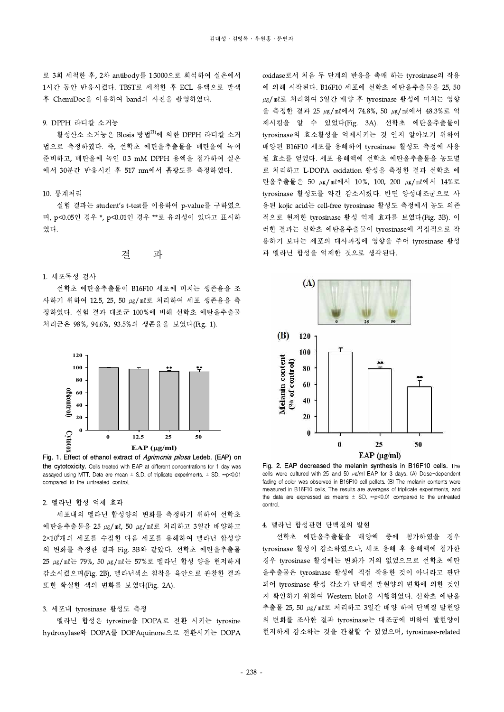로 3회 세척한 후, 2차 antibody를 1:3000으로 희석하여 실온에서 1시간 동안 반응시켰다. TBST로 세척한 후 ECL 용액으로 발색 후 ChemiDoc을 이용하여 band의 사진을 촬영하였다.

#### 9. DPPH 라디칼 소거능

활성산소 소거능은 Blosis 방법<sup>21)</sup>에 의한 DPPH 라디칼 소거 법으로 측정하였다.즉, 선학초 에탄올추출물을 메탄올에 녹여 준비하고, 메탄올에 녹인 0.3 mM DPPH 용액을 첨가하여 실온 에서 30분간 반응시킨 후 517 nm에서 흡광도를 측정하였다.

#### 10. 통계처리

실험 결과는 student's t-test를 이용하여 p-value를 구하였으 며, p<0.05인 경우 \*, p<0.01인 경우 \*\*로 유의성이 있다고 표시하 였다.

## 결 과

#### 1. 세포독성 검사

선학초 에탄올추출물이 B16F10 세포에 미치는 생존율을 조 사하기 위하여 12.5, 25, 50 ㎍/㎖로 처리하여 세포 생존율을 측 정하였다. 실험 결과 대조군 100%에 비해 선학초 에탄올추출물 처리군은 98%, 94.6%,93.5%의 생존율을 보였다(Fig. 1).



Fig. 1. Effect of ethanol extract of *Agrimonia pilosa* Ledeb. (EAP) on the cytotoxicity. Cells treated with EAP at different concentrations for 1 day was assayed using MTT. Data are mean  $\pm$  S.D. of triplicate experiments.  $\pm$  SD. \*\*p<0.01 compared to the untreated control.

#### 2. 멜라닌 합성 억제 효과

세포내의 멜라닌 합성양의 변화를 측정하기 위하여 선학초 에탄올추출물을 25 ㎍/㎖, 50 ㎍/㎖로 처리하고 3일간 배양하고 2×10 <sup>6</sup>개의 세포를 수집한 다음 세포를 용해하여 멜라닌 합성양 의 변화를 측정한 결과 Fig. 3B와 같았다. 선학초 에탄올추출물 25 ㎍/㎖는 79%, 50 ㎍/㎖는 57%로 멜라닌 합성 양을 현저하게 감소시켰으며(Fig. 2B), 멜라닌색소 침착을 육안으로 관찰한 결과 또한 확실한 색의 변화를 보였다(Fig. 2A).

#### 3. 세포내 tyrosinase 활성도 측정

멜라닌 합성은 tyrosine을 DOPA로 전환 시키는 tyrosine hydroxylase와 DOPA를 DOPAquinone으로 전환시키는 DOPA oxidase로서 처음 두 단계의 반응을 촉매 하는 tyrosinase의 작용 에 의해 시작된다. B16F10 세포에 선학초 에탄올추출물을 25, 50 ㎍/㎖로 처리하여 3일간 배양 후 tyrosinase 활성에 미치는 영향 을 측정한 결과 25 ㎍/㎖에서 74.8%, 50 ㎍/㎖에서 48.3%로 억 제시킴을 알 수 있었다(Fig. 3A). 선학초 에탄올추출물이 tyrosinase의 효소활성을 억제시키는 것 인지 알아보기 위하여 배양된 B16F10 세포를 용해하여 tyrosinase 활성도 측정에 사용 될 효소를 얻었다. 세포 용해액에 선학초 에탄올추출물을 농도별 로 처리하고 L-DOPA oxidation 활성을 측정한 결과 선학초 에 탄올추출물은 50 ㎍/㎖에서 10%, 100, 200 ㎍/㎖에서 14%로 tyrosinase 활성도를 약간 감소시켰다. 반면 양성대조군으로 사 용된 kojic acid는 cell-free tyrosinase 활성도 측정에서 농도 의존 적으로 현저한 tyrosinase 활성 억제 효과를 보였다(Fig. 3B). 이 러한 결과는 선학초 에탄올추출물이 tyrosinase에 직접적으로 작 용하기 보다는 세포의 대사과정에 영향을 주어 tyrosinase 활성 과 멜라닌 합성을 억제한 것으로 생각된다.



Fig. 2. EAP decreased the melanin synthesis in B16F10 cells. The cells were cultured with 25 and 50 µg/ml EAP for 3 days. (A) Dose-dependent fading of color was observed in B16F10 cell pellets. (B) The melanin contents were measured in B16F10 cells. The results are averages of triplicate experiments, and the data are expressed as means  $\pm$  SD. \*\*p<0.01 compared to the untreated control.

4. 멜라닌 합성관련 단백질의 발현

선학초 에탄올추출물을 배양액 중에 첨가하였을 경우 tyrosinase 활성이 감소하였으나, 세포 용해 후 용해액에 첨가한 경우 tyrosinase 활성에는 변화가 거의 없었으므로 선학초 에탄 올추출물은 tyrosinase 활성에 직접 작용한 것이 아니라고 판단 되어 tyrosinase 활성 감소가 단백질 발현양의 변화에 의한 것인 지 확인하기 위하여 Western blot을 시행하였다. 선학초 에탄올 추출물 25, 50 ㎍/㎖로 처리하고 3일간 배양 하여 단백질 발현양 의 변화를 조사한 결과 tyrosinase는 대조군에 비하여 발현양이 현저하게 감소하는 것을 관찰할 수 있었으며, tyrosinase-related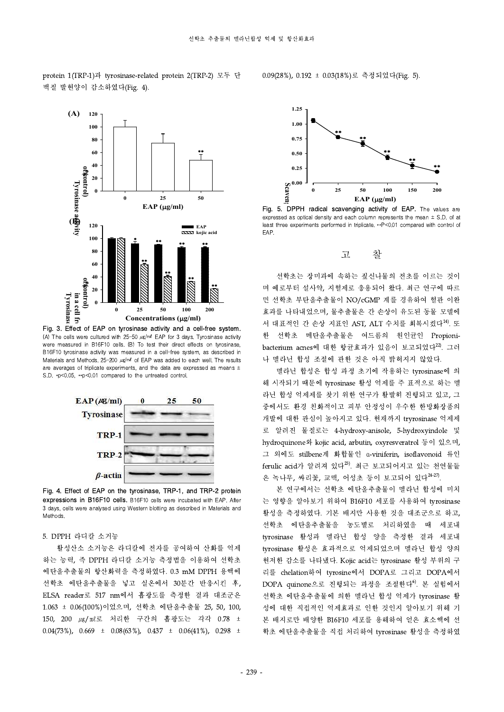

protein 1(TRP-1)과 tyrosinase-related protein 2(TRP-2) 모두 단 백질 발현양이 감소하였다(Fig. 4).

Fig. 3. Effect of EAP on tyrosinase activity and a cell-free system. (A) The cells were cultured with  $25-50 \ \mu\text{g/m}$  EAP for 3 days. Tyrosinase activity were measured in B16F10 cells. (B) To test their direct effects on tyrosinase, B16F10 tyrosinase activity was measured in a cell-free system, as described in Materials and Methods.  $25-200 \ \mu\text{g/m}$  of EAP was added to each well. The results are averages of triplicate experiments, and the data are expressed as means  $\pm$ S.D. \*p<0.05, \*\*p<0.01 compared to the untreated control.



Fig. 4. Effect of EAP on the tyrosinase, TRP-1, and TRP-2 protein expressions in B16F10 cells. B16F10 cells were incubated with EAP. After 3 days, cells were analysed using Western blotting as described in Materials and **Methods** 

#### 5. DPPH 라디칼 소거능

활성산소 소거능은 라디칼에 전자를 공여하여 산화를 억제 하는 능력, 즉 DPPH 라디칼 소거능 측정법을 이용하여 선학초 에탄올추출물의 항산화력을 측정하였다. 0.3 mM DPPH 용액에 선학초 에탄올추출물을 넣고 실온에서 30분간 반응시킨 후, ELSA reader로 517 nm에서 흡광도를 측정한 결과 대조군은 1.063 ± 0.06(100%)이었으며, 선학초 에탄올추출물 25, 50, 100, 150, 200 ㎍/㎖로 처리한 구간의 흡광도는 각각 0.78 ± 0.04(73%), 0.669  $\pm$  0.08(63%), 0.437  $\pm$  0.06(41%), 0.298  $\pm$ 



0.09(28%), 0.192 ± 0.03(18%)로 측정되었다(Fig. 5).

**120 EAP EAP EAP EAP EAP EAP EAP EAP EAP EAP EAP EAP EAP EAP EAP EAP EAP EAP EAP EAP EAP EAP EAP EAP EAP EAP EAP EAP EAP EAP EAP EAP EAP EAP EAP EAP EAP (** $\mu$ **g/ml)**<br> **EAP (** $\mu$ **g/ml)**<br> **DPPH** radical scavenging activity of EAP. The values are<br>
d as optical ensity and each column represents the mean  $\pm$  S.D. of at<br>
be experiments performed in triplicate. \*\*P<0.01 comp Fig. 5. DPPH radical scavenging activity of EAP. The values are expressed as optical density and each column represents the mean  $\pm$  S.D. of at EAP.

## 고 찰

\*\* 며 예로부터 설사약, 지혈제로 응용되어 왔다. 최근 연구에 따르 선학초는 장미과에 속하는 짚신나물의 전초를 이르는 것이 면 선학초 부탄올추출물이 NO/cGMP 계를 경유하여 혈관 이완 효과를 나타내었으며, 물추출물은 간 손상이 유도된 동물 모델에 서 대표적인 간 손상 지표인 AST, ALT 수치를 회복시켰다<sup>14)</sup>. 또 한 선학초 메탄올추출물은 여드름의 원인균인 Propionibacterium acnes에 대한 항균효과가 있음이 보고되었다 $^{22}$ . 그러 나 멜라닌 합성 조절에 관한 것은 아직 밝혀지지 않았다.

> 멜라닌 합성은 합성 과정 초기에 작용하는 tyrosinase에 의 해 시작되기 때문에 tyrosinase 활성 억제를 주 표적으로 하는 멜 라닌 합성 억제제를 찾기 위한 연구가 활발히 진행되고 있고, 그 중에서도 환경 친화적이고 피부 안정성이 우수한 한방화장품의 개발에 대한 관심이 높아지고 있다. 현재까지 tryrosinase 억제제 로 알려진 물질로는 4-hydroxy-anisole, 5-hydroxyindole 및 hydroquinone와 kojic acid, arbutin, oxyresveratrol 등이 있으며, 그 외에도 stilbene계 화합물인 α-viniferin, isoflavonoid 류인 ferulic acid가 알려져 있다 $^{23}$ . 최근 보고되어지고 있는 천연물들 은 녹나무, 싸리꽃, 교맥, 어성초 등이 보고되어 있다 $^{24-27}$ .

> 본 연구에서는 선학초 에탄올추출물이 멜라닌 합성에 미치 는 영향을 알아보기 위하여 B16F10 세포를 사용하여 tyrosinase 활성을 측정하였다. 기본 배지만 사용한 것을 대조군으로 하고, 선학초 에탄올추출물을 농도별로 처리하였을 때 세포내 tyrosinase 활성과 멜라닌 합성 양을 측정한 결과 세포내 tyrosinase 활성은 효과적으로 억제되었으며 멜라닌 합성 양의 현저한 감소를 나타냈다. Kojic acid는 tyrosinase 활성 부위의 구 리를 chelation하여 tyrosine에서 DOPA로 그리고 DOPA에서 DOPA quinone으로 진행되는 과정을 조절한다<sup>6</sup>. 본 실험에서 선학초 에탄올추출물에 의한 멜라닌 합성 억제가 tyrosinase 활 성에 대한 직접적인 억제효과로 인한 것인지 알아보기 위해 기 본 배지로만 배양한 B16F10 세포를 용해하여 얻은 효소액에 선 학초 에탄올추출물을 직접 처리하여 tyrosinase 활성을 측정하였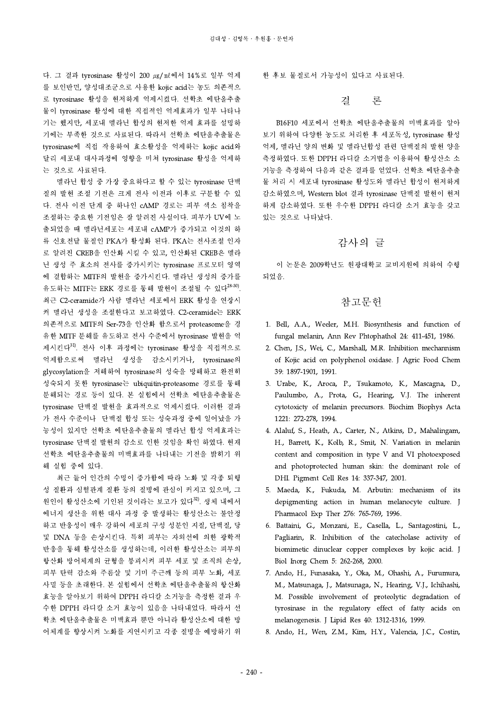다. 그 결과 tyrosinase 활성이 200 µg/ml에서 14%로 일부 억제 를 보인반면, 양성대조군으로 사용한 kojic acid는 농도 의존적으 로 tyrosinase 활성을 현저하게 억제시켰다. 선학초 에탄올추출 물이 tyrosinase 활성에 대한 직접적인 억제효과가 일부 나타나 기는 했지만, 세포내 멜라닌 합성의 현저한 억제 효과를 설명하 기에는 부족한 것으로 사료된다. 따라서 선학초 에탄올추출물은 tyrosinase에 직접 작용하여 효소활성을 억제하는 kojic acid와 달리 세포내 대사과정에 영향을 미쳐 tyrosinase 활성을 억제하 는 것으로 사료된다.

멜라닌 합성 중 가장 중요하다고 할 수 있는 tyrosinase 단백 질의 발현 조절 기전은 크게 전사 이전과 이후로 구분할 수 있 다. 전사 이전 단계 중 하나인 cAMP 경로는 피부 색소 침착을 조절하는 중요한 기전임은 잘 알려진 사실이다. 피부가 UV에 노 출되었을 때 멜라닌세포는 세포내 cAMP가 증가되고 이것의 하 류 신호전달 물질인 PKA가 활성화 된다. PKA는 전사조절 인자 로 알려진 CREB을 인산화 시킬 수 있고, 인산화된 CREB은 멜라 닌 생성 주 효소의 전사를 증가시키는 tyrosinase 프로모터 영역 에 결합하는 MITF의 발현을 증가시킨다. 멜라닌 생성의 증가를 유도하는 MITF는 ERK 경로를 통해 발현이 조절될 수 있다<sup>28-30)</sup>. 최근 C2-ceramide가 사람 멜라닌 세포에서 ERK 활성을 연장시 켜 멜라닌 생성을 조절한다고 보고하였다.C2-ceramide는 ERK 의존적으로 MITF의 Ser-73을 인산화 함으로서 proteasome을 경 유한 MITF 분해를 유도하고 전사 수준에서 tyrosinase 발현을 억 제시킨다31). 전사 이후 과정에는 tyrosinase 활성을 직접적으로 억제함으로써 멜라닌 생성을 감소시키거나, tyrosinase의 glycosylation을 저해하여 tyrosinase의 성숙을 방해하고 완전히 성숙되지 못한 tyrosinase는 ubiquitin-proteasome 경로를 통해 분해되는 경로 등이 있다. 본 실험에서 선학초 에탄올추출물은 tyrosinase 단백질 발현을 효과적으로 억제시켰다. 이러한 결과 가 전사 수준이나 단백질 합성 또는 성숙과정 중에 일어났을 가 능성이 있지만 선학초 에탄올추출물의 멜라닌 합성 억제효과는 tyrosinase 단백질 발현의 감소로 인한 것임을 확인 하였다. 현재 선학초 에탄올추출물의 미백효과를 나타내는 기전을 밝히기 위 해 실험 중에 있다.

최근 들어 인간의 수명이 증가함에 따라 노화 및 각종 퇴행 성 질환과 심혈관계 질환 등의 질병에 관심이 커지고 있으며, 그 원인이 활성산소에 기인된 것이라는 보고가 있다<sup>32)</sup>. 생체 내에서 에너지 생산을 위한 대사 과정 중 발생하는 활성산소는 불안정 하고 반응성이 매우 강하여 세포의 구성 성분인 지질, 단백질, 당 및 DNA 등을 손상시킨다. 특히 피부는 자외선에 의한 광학적 반응을 통해 활성산소를 생성하는데, 이러한 활성산소는 피부의 항산화 방어체계의 균형을 붕괴시켜 피부 세포 및 조직의 손상, 피부 탄력 감소와 주름살 및 기미 주근깨 등의 피부 노화, 세포 사멸 등을 초래한다. 본 실험에서 선학초 에탄올추출물의 항산화 효능을 알아보기 위하여 DPPH 라디칼 소거능을 측정한 결과 우 수한 DPPH 라디칼 소거 효능이 있음을 나타내었다. 따라서 선 학초 에탄올추출물은 미백효과 뿐만 아니라 활성산소에 대한 방 어체계를 향상시켜 노화를 지연시키고 각종 질병을 예방하기 위

한 후보 물질로서 가능성이 있다고 사료된다.

결 론

B16F10 세포에서 선학초 에탄올추출물의 미백효과를 알아 보기 위하여 다양한 농도로 처리한 후 세포독성, tyrosinase 활성 억제, 멜라닌 양의 변화 및 멜라닌합성 관련 단백질의 발현 양을 측정하였다. 또한 DPPH 라디칼 소거법을 이용하여 활성산소 소 거능을 측정하여 다음과 같은 결과를 얻었다. 선학초 에탄올추출 물 처리 시 세포내 tyrosinase 활성도와 멜라닌 합성이 현저하게 감소하였으며, Western blot 결과 tyrosinase 단백질 발현이 현저 하게 감소하였다. 또한 우수한 DPPH 라디칼 소거 효능을 갖고 있는 것으로 나타났다.

## 감사의 글

이 논문은 2009학년도 원광대학교 교비지원에 의하여 수행 되었음.

## 참고문헌

- 1.Bell, A.A., Weeler, M.H. Biosynthesis and function of fungal melanin, Ann Rev Phtophathol 24: 411-451, 1986.
- 2. Chen, J.S., Wei, C., Marshall, M.R. Inhibition mechannism of Kojic acid on polyphenol oxidase. J Agric Food Chem 39: 1897-1901, 1991.
- 3. Urabe, K., Aroca, P., Tsukamoto, K., Mascagna, D., Paulumbo, A., Prota, G., Hearing, V.J. The inherent cytotoxicty of melanin precursors. Biochim Biophys Acta 1221: 272-278, 1994.
- 4. Alaluf, S., Heath, A., Carter, N., Atkins, D., Mahalingam, H., Barrett, K., Kolb, R., Smit, N. Variation in melanin content and composition in type V and VI photoexposed and photoprotected human skin: the dominant role of DHI. Pigment Cell Res 14: 337-347, 2001.
- 5. Maeda, K., Fukuda, M. Arbutin: mechanism of its depigmenting action in human melanocyte culture. J Pharmacol Exp Ther 276: 765-769, 1996.
- 6. Battaini, G., Monzani, E., Casella, L., Santagostini, L., Pagliarin, R. Inhibition of the catecholase activity of biomimetic dinuclear copper complexes by kojic acid. J Biol Inorg Chem 5: 262-268, 2000.
- 7. Ando, H., Funasaka, Y., Oka, M., Ohashi, A., Furumura, M., Matsunaga, J., Matsunaga, N., Hearing, V.J., Ichihashi, M. Possible involvement of proteolytic degradation of tyrosinase in the regulatory effect of fatty acids on melanogenesis. J Lipid Res 40: 1312-1316, 1999.
- 8.Ando, H., Wen, Z.M., Kim, H.Y., Valencia, J.C., Costin,